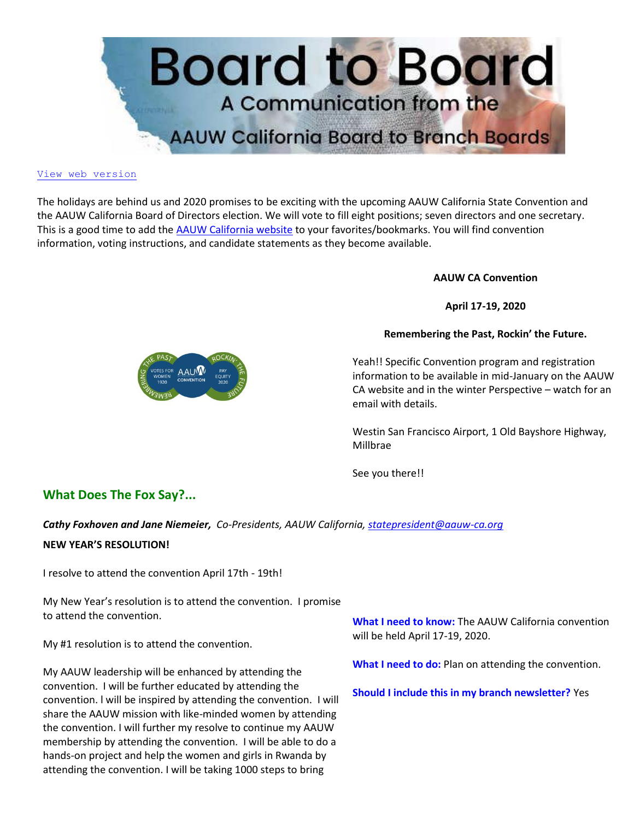

#### [View web version](https://bor.aauw-ca.org/sendy/w/892WZcugyyn7Dp4I7u2fztNQ/X4kB0ERVfDDPr7iAvcwqJA/ecCXcdD7630rC892LGxdD763L2Nw)

The holidays are behind us and 2020 promises to be exciting with the upcoming AAUW California State Convention and the AAUW California Board of Directors election. We will vote to fill eight positions; seven directors and one secretary. This is a good time to add the [AAUW California website](https://bor.aauw-ca.org/sendy/l/892WZcugyyn7Dp4I7u2fztNQ/OSdGzmGTR1QOQIfJWRtpLQ/ecCXcdD7630rC892LGxdD763L2Nw) to your favorites/bookmarks. You will find convention information, voting instructions, and candidate statements as they become available.

**AAUW CA Convention**

**April 17-19, 2020**

**Remembering the Past, Rockin' the Future.**

Yeah!! Specific Convention program and registration information to be available in mid-January on the AAUW CA website and in the winter Perspective – watch for an email with details.

Westin San Francisco Airport, 1 Old Bayshore Highway, Millbrae

See you there!!

# **What Does The Fox Say?...**

*Cathy Foxhoven and Jane Niemeier, Co-Presidents, AAUW California[, statepresident@aauw-ca.org](mailto:statepresident@aauw-ca.org)*

#### **NEW YEAR'S RESOLUTION!**

I resolve to attend the convention April 17th - 19th!

My New Year's resolution is to attend the convention. I promise to attend the convention.

My #1 resolution is to attend the convention.

My AAUW leadership will be enhanced by attending the convention. I will be further educated by attending the convention. l will be inspired by attending the convention. I will share the AAUW mission with like-minded women by attending the convention. I will further my resolve to continue my AAUW membership by attending the convention. I will be able to do a hands-on project and help the women and girls in Rwanda by attending the convention. I will be taking 1000 steps to bring

**What I need to know:** The AAUW California convention will be held April 17-19, 2020.

**What I need to do:** Plan on attending the convention.

**Should I include this in my branch newsletter?** Yes

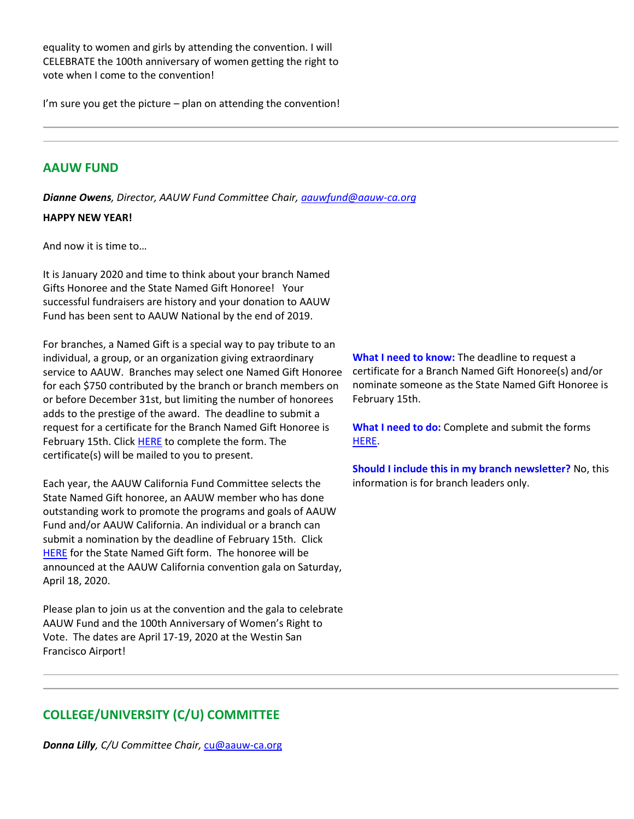equality to women and girls by attending the convention. I will CELEBRATE the 100th anniversary of women getting the right to vote when I come to the convention!

I'm sure you get the picture – plan on attending the convention!

## **AAUW FUND**

*Dianne Owens, Director, AAUW Fund Committee Chair, [aauwfund@aauw-ca.org](mailto:aauwfund@aauw-ca.org)*

### **HAPPY NEW YEAR!**

And now it is time to…

It is January 2020 and time to think about your branch Named Gifts Honoree and the State Named Gift Honoree! Your successful fundraisers are history and your donation to AAUW Fund has been sent to AAUW National by the end of 2019.

For branches, a Named Gift is a special way to pay tribute to an individual, a group, or an organization giving extraordinary service to AAUW. Branches may select one Named Gift Honoree for each \$750 contributed by the branch or branch members on or before December 31st, but limiting the number of honorees adds to the prestige of the award. The deadline to submit a request for a certificate for the Branch Named Gift Honoree is February 15th. Click [HERE](https://bor.aauw-ca.org/sendy/l/892WZcugyyn7Dp4I7u2fztNQ/J763svQNCYcsu763SHgu763T6qOQ/ecCXcdD7630rC892LGxdD763L2Nw) to complete the form. The certificate(s) will be mailed to you to present.

Each year, the AAUW California Fund Committee selects the State Named Gift honoree, an AAUW member who has done outstanding work to promote the programs and goals of AAUW Fund and/or AAUW California. An individual or a branch can submit a nomination by the deadline of February 15th. Click [HERE](https://bor.aauw-ca.org/sendy/l/892WZcugyyn7Dp4I7u2fztNQ/J763svQNCYcsu763SHgu763T6qOQ/ecCXcdD7630rC892LGxdD763L2Nw) for the State Named Gift form. The honoree will be announced at the AAUW California convention gala on Saturday, April 18, 2020.

Please plan to join us at the convention and the gala to celebrate AAUW Fund and the 100th Anniversary of Women's Right to Vote. The dates are April 17-19, 2020 at the Westin San Francisco Airport!

**What I need to know:** The deadline to request a certificate for a Branch Named Gift Honoree(s) and/or nominate someone as the State Named Gift Honoree is February 15th.

**What I need to do:** Complete and submit the forms [HERE.](https://bor.aauw-ca.org/sendy/l/892WZcugyyn7Dp4I7u2fztNQ/J763svQNCYcsu763SHgu763T6qOQ/ecCXcdD7630rC892LGxdD763L2Nw)

**Should I include this in my branch newsletter?** No, this information is for branch leaders only.

# **COLLEGE/UNIVERSITY (C/U) COMMITTEE**

*Donna Lilly, C/U Committee Chair,* [cu@aauw-ca.org](mailto:cu@aauw-ca.org)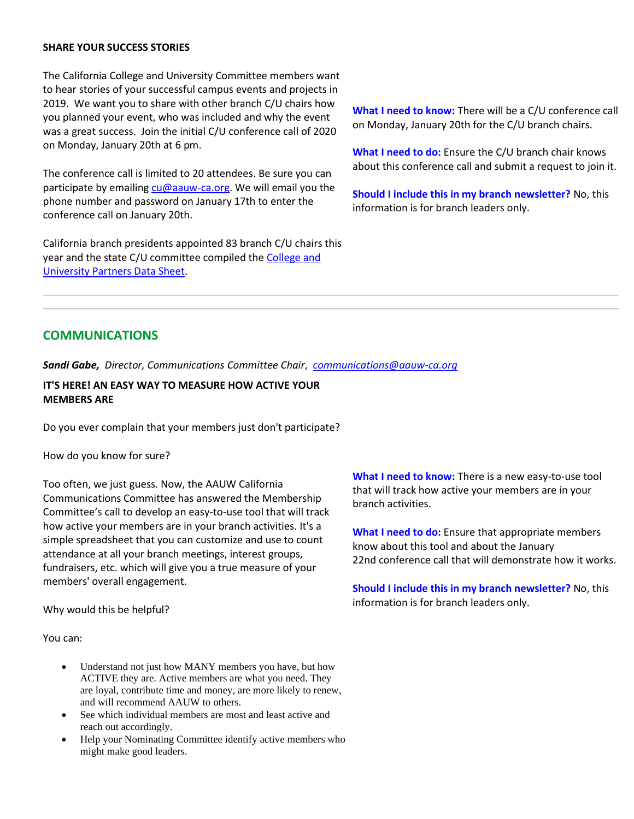### **SHARE YOUR SUCCESS STORIES**

The California College and University Committee members want to hear stories of your successful campus events and projects in 2019. We want you to share with other branch C/U chairs how you planned your event, who was included and why the event was a great success. Join the initial C/U conference call of 2020 on Monday, January 20th at 6 pm.

The conference call is limited to 20 attendees. Be sure you can participate by emailing [cu@aauw-ca.org.](mailto:cu@aauw-ca.org) We will email you the phone number and password on January 17th to enter the conference call on January 20th.

California branch presidents appointed 83 branch C/U chairs this year and the state C/U committee compiled th[e College and](https://bor.aauw-ca.org/sendy/l/892WZcugyyn7Dp4I7u2fztNQ/izFQo3w6QgUuGiPTqQFIMA/ecCXcdD7630rC892LGxdD763L2Nw)  [University Partners Data Sheet.](https://bor.aauw-ca.org/sendy/l/892WZcugyyn7Dp4I7u2fztNQ/izFQo3w6QgUuGiPTqQFIMA/ecCXcdD7630rC892LGxdD763L2Nw)

**What I need to know:** There will be a C/U conference call on Monday, January 20th for the C/U branch chairs.

**What I need to do:** Ensure the C/U branch chair knows about this conference call and submit a request to join it.

**Should I include this in my branch newsletter?** No, this information is for branch leaders only.

## **COMMUNICATIONS**

*Sandi Gabe, Director, Communications Committee Chair*, *[communications@aauw-ca.org](mailto:Communications@aauw-ca.org)*

## **IT'S HERE! AN EASY WAY TO MEASURE HOW ACTIVE YOUR MEMBERS ARE**

Do you ever complain that your members just don't participate?

How do you know for sure?

Too often, we just guess. Now, the AAUW California Communications Committee has answered the Membership Committee's call to develop an easy-to-use tool that will track how active your members are in your branch activities. It's a simple spreadsheet that you can customize and use to count attendance at all your branch meetings, interest groups, fundraisers, etc. which will give you a true measure of your members' overall engagement.

Why would this be helpful?

You can:

- Understand not just how MANY members you have, but how ACTIVE they are. Active members are what you need. They are loyal, contribute time and money, are more likely to renew, and will recommend AAUW to others.
- See which individual members are most and least active and reach out accordingly.
- Help your Nominating Committee identify active members who might make good leaders.

**What I need to know:** There is a new easy-to-use tool that will track how active your members are in your branch activities.

**What I need to do:** Ensure that appropriate members know about this tool and about the January 22nd conference call that will demonstrate how it works.

**Should I include this in my branch newsletter?** No, this information is for branch leaders only.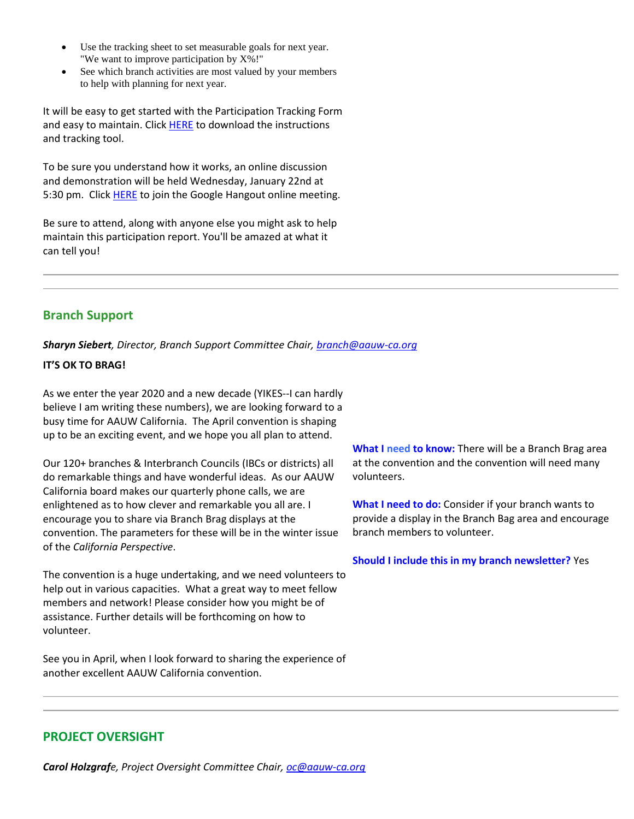- Use the tracking sheet to set measurable goals for next year. "We want to improve participation by X%!"
- See which branch activities are most valued by your members to help with planning for next year.

It will be easy to get started with the Participation Tracking Form and easy to maintain. Click **HERE** to download the instructions and tracking tool.

To be sure you understand how it works, an online discussion and demonstration will be held Wednesday, January 22nd at 5:30 pm. Click **HERE** to join the Google Hangout online meeting.

Be sure to attend, along with anyone else you might ask to help maintain this participation report. You'll be amazed at what it can tell you!

# **Branch Support**

*Sharyn Siebert, Director, Branch Support Committee Chair[, branch@aauw-ca.org](mailto:branch@aauw-ca.org)*

## **IT'S OK TO BRAG!**

As we enter the year 2020 and a new decade (YIKES--I can hardly believe I am writing these numbers), we are looking forward to a busy time for AAUW California. The April convention is shaping up to be an exciting event, and we hope you all plan to attend.

Our 120+ branches & Interbranch Councils (IBCs or districts) all do remarkable things and have wonderful ideas. As our AAUW California board makes our quarterly phone calls, we are enlightened as to how clever and remarkable you all are. I encourage you to share via Branch Brag displays at the convention. The parameters for these will be in the winter issue of the *California Perspective*.

The convention is a huge undertaking, and we need volunteers to help out in various capacities. What a great way to meet fellow members and network! Please consider how you might be of assistance. Further details will be forthcoming on how to volunteer.

See you in April, when I look forward to sharing the experience of another excellent AAUW California convention.

**What I need to know:** There will be a Branch Brag area at the convention and the convention will need many volunteers.

**What I need to do:** Consider if your branch wants to provide a display in the Branch Bag area and encourage branch members to volunteer.

**Should I include this in my branch newsletter?** Yes

# **PROJECT OVERSIGHT**

*Carol Holzgrafe, Project Oversight Committee Chair[, oc@aauw-ca.org](mailto:oc@aauw-ca.org)*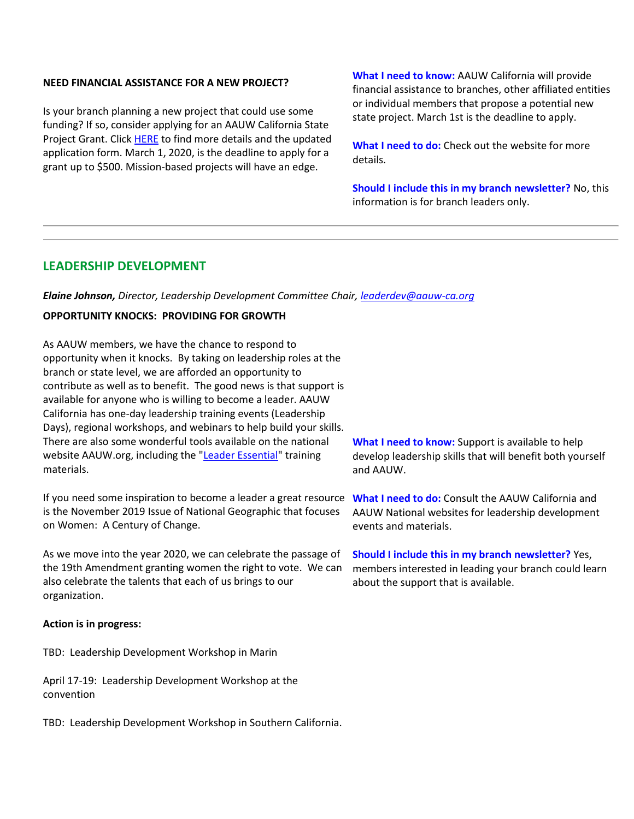#### **NEED FINANCIAL ASSISTANCE FOR A NEW PROJECT?**

Is your branch planning a new project that could use some funding? If so, consider applying for an AAUW California State Project Grant. Clic[k HERE](https://bor.aauw-ca.org/sendy/l/892WZcugyyn7Dp4I7u2fztNQ/L417YNLNOd2pQqL8tOjvyA/ecCXcdD7630rC892LGxdD763L2Nw) to find more details and the updated application form. March 1, 2020, is the deadline to apply for a grant up to \$500. Mission-based projects will have an edge.

**What I need to know:** AAUW California will provide financial assistance to branches, other affiliated entities or individual members that propose a potential new state project. March 1st is the deadline to apply.

**What I need to do:** Check out the website for more details.

**Should I include this in my branch newsletter?** No, this information is for branch leaders only.

## **LEADERSHIP DEVELOPMENT**

*Elaine Johnson, Director, Leadership Development Committee Chair, [leaderdev@aauw-ca.org](mailto:leaderdev@aauw-ca.org)*

## **OPPORTUNITY KNOCKS: PROVIDING FOR GROWTH**

As AAUW members, we have the chance to respond to opportunity when it knocks. By taking on leadership roles at the branch or state level, we are afforded an opportunity to contribute as well as to benefit. The good news is that support is available for anyone who is willing to become a leader. AAUW California has one-day leadership training events (Leadership Days), regional workshops, and webinars to help build your skills. There are also some wonderful tools available on the national website AAUW.org, including the ["Leader Essential"](https://bor.aauw-ca.org/sendy/l/892WZcugyyn7Dp4I7u2fztNQ/hTLc6HYqCIM8Rh0f7YogTQ/ecCXcdD7630rC892LGxdD763L2Nw) training materials.

If you need some inspiration to become a leader a great resource What I need to do: Consult the AAUW California and is the November 2019 Issue of National Geographic that focuses on Women: A Century of Change.

As we move into the year 2020, we can celebrate the passage of the 19th Amendment granting women the right to vote. We can also celebrate the talents that each of us brings to our organization.

#### **Action is in progress:**

TBD: Leadership Development Workshop in Marin

April 17-19: Leadership Development Workshop at the convention

TBD: Leadership Development Workshop in Southern California.

**What I need to know:** Support is available to help develop leadership skills that will benefit both yourself and AAUW.

AAUW National websites for leadership development events and materials.

**Should I include this in my branch newsletter?** Yes, members interested in leading your branch could learn about the support that is available.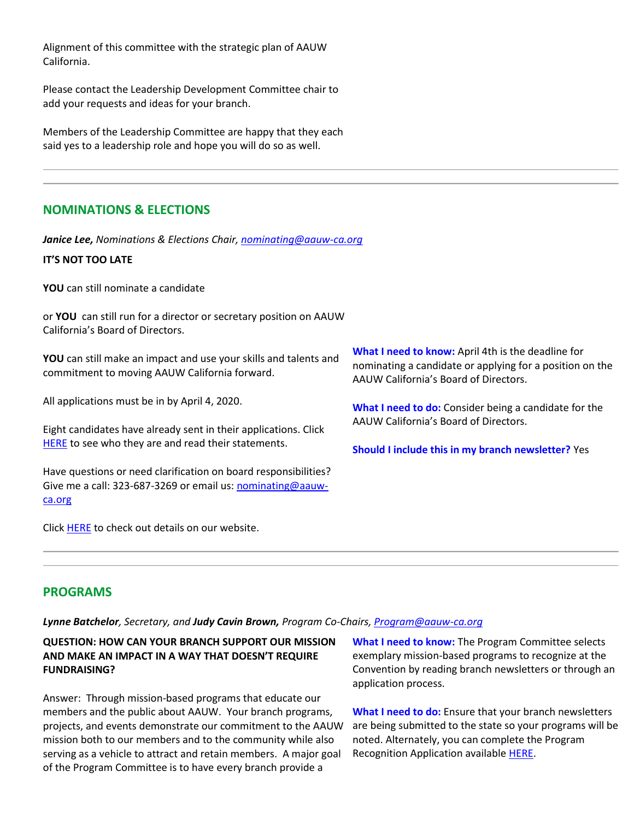Alignment of this committee with the strategic plan of AAUW California.

Please contact the Leadership Development Committee chair to add your requests and ideas for your branch.

Members of the Leadership Committee are happy that they each said yes to a leadership role and hope you will do so as well.

## **NOMINATIONS & ELECTIONS**

*Janice Lee, Nominations & Elections Chair, [nominating@aauw-ca.org](mailto:nominating@aauw-ca.org)*

### **IT'S NOT TOO LATE**

**YOU** can still nominate a candidate

or **YOU** can still run for a director or secretary position on AAUW California's Board of Directors.

**YOU** can still make an impact and use your skills and talents and commitment to moving AAUW California forward.

All applications must be in by April 4, 2020.

Eight candidates have already sent in their applications. Click [HERE](https://bor.aauw-ca.org/sendy/l/892WZcugyyn7Dp4I7u2fztNQ/vD7qc2hmeJD6XF09j3XBsA/ecCXcdD7630rC892LGxdD763L2Nw) to see who they are and read their statements.

Have questions or need clarification on board responsibilities? Give me a call: 323-687-3269 or email us[: nominating@aauw](mailto:nominating@aauw-ca.org)[ca.org](mailto:nominating@aauw-ca.org)

Clic[k HERE](https://bor.aauw-ca.org/sendy/l/892WZcugyyn7Dp4I7u2fztNQ/ezMDFUOgnYHBxrwFBePdXA/ecCXcdD7630rC892LGxdD763L2Nw) to check out details on our website.

**What I need to know:** April 4th is the deadline for nominating a candidate or applying for a position on the AAUW California's Board of Directors.

**What I need to do:** Consider being a candidate for the AAUW California's Board of Directors.

**Should I include this in my branch newsletter?** Yes

## **PROGRAMS**

#### *Lynne Batchelor, Secretary, and Judy Cavin Brown, Program Co-Chairs, [Program@aauw-ca.org](mailto:nominating@aauw-ca.org)*

## **QUESTION: HOW CAN YOUR BRANCH SUPPORT OUR MISSION AND MAKE AN IMPACT IN A WAY THAT DOESN'T REQUIRE FUNDRAISING?**

Answer: Through mission-based programs that educate our members and the public about AAUW. Your branch programs, projects, and events demonstrate our commitment to the AAUW mission both to our members and to the community while also serving as a vehicle to attract and retain members. A major goal of the Program Committee is to have every branch provide a

**What I need to know:** The Program Committee selects exemplary mission-based programs to recognize at the Convention by reading branch newsletters or through an application process.

**What I need to do:** Ensure that your branch newsletters are being submitted to the state so your programs will be noted. Alternately, you can complete the Program Recognition Application availabl[e HERE.](https://bor.aauw-ca.org/sendy/l/892WZcugyyn7Dp4I7u2fztNQ/NdNMpdLyNVT763GGe0ZVB5pA/ecCXcdD7630rC892LGxdD763L2Nw)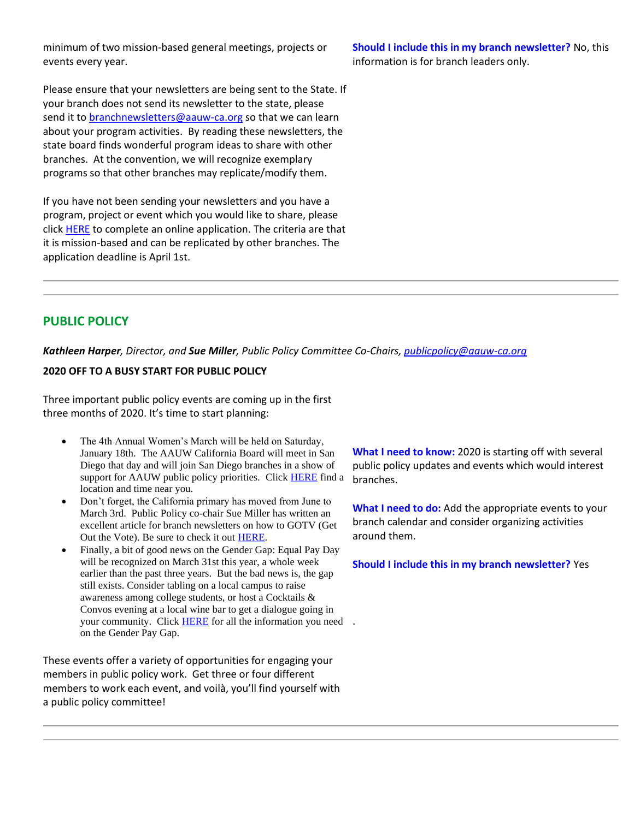minimum of two mission-based general meetings, projects or events every year.

Please ensure that your newsletters are being sent to the State. If your branch does not send its newsletter to the state, please send it to [branchnewsletters@aauw-ca.org](mailto:branchnewsletters@aauw-ca.org) so that we can learn about your program activities. By reading these newsletters, the state board finds wonderful program ideas to share with other branches. At the convention, we will recognize exemplary programs so that other branches may replicate/modify them.

If you have not been sending your newsletters and you have a program, project or event which you would like to share, please click [HERE](https://bor.aauw-ca.org/sendy/l/892WZcugyyn7Dp4I7u2fztNQ/NdNMpdLyNVT763GGe0ZVB5pA/ecCXcdD7630rC892LGxdD763L2Nw) to complete an online application. The criteria are that it is mission-based and can be replicated by other branches. The application deadline is April 1st.

**Should I include this in my branch newsletter?** No, this information is for branch leaders only.

# **PUBLIC POLICY**

*Kathleen Harper, Director, and Sue Miller, Public Policy Committee Co-Chairs, [publicpolicy@aauw-ca.org](mailto:PublicPolicy@aauw-ca.org)*

### **2020 OFF TO A BUSY START FOR PUBLIC POLICY**

Three important public policy events are coming up in the first three months of 2020. It's time to start planning:

- The 4th Annual Women's March will be held on Saturday, January 18th. The AAUW California Board will meet in San Diego that day and will join San Diego branches in a show of support for AAUW public policy priorities. Click **HERE** find a location and time near you.
- Don't forget, the California primary has moved from June to March 3rd. Public Policy co-chair Sue Miller has written an excellent article for branch newsletters on how to GOTV (Get Out the Vote). Be sure to check it ou[t HERE.](https://bor.aauw-ca.org/sendy/l/892WZcugyyn7Dp4I7u2fztNQ/NgODqOxzIjTypYAvZDKIew/ecCXcdD7630rC892LGxdD763L2Nw)
- Finally, a bit of good news on the Gender Gap: Equal Pay Day will be recognized on March 31st this year, a whole week earlier than the past three years. But the bad news is, the gap still exists. Consider tabling on a local campus to raise awareness among college students, or host a Cocktails & Convos evening at a local wine bar to get a dialogue going in your community. Click **HERE** for all the information you need. on the Gender Pay Gap.

These events offer a variety of opportunities for engaging your members in public policy work. Get three or four different members to work each event, and voilà, you'll find yourself with a public policy committee!

**What I need to know:** 2020 is starting off with several public policy updates and events which would interest branches.

**What I need to do:** Add the appropriate events to your branch calendar and consider organizing activities around them.

**Should I include this in my branch newsletter?** Yes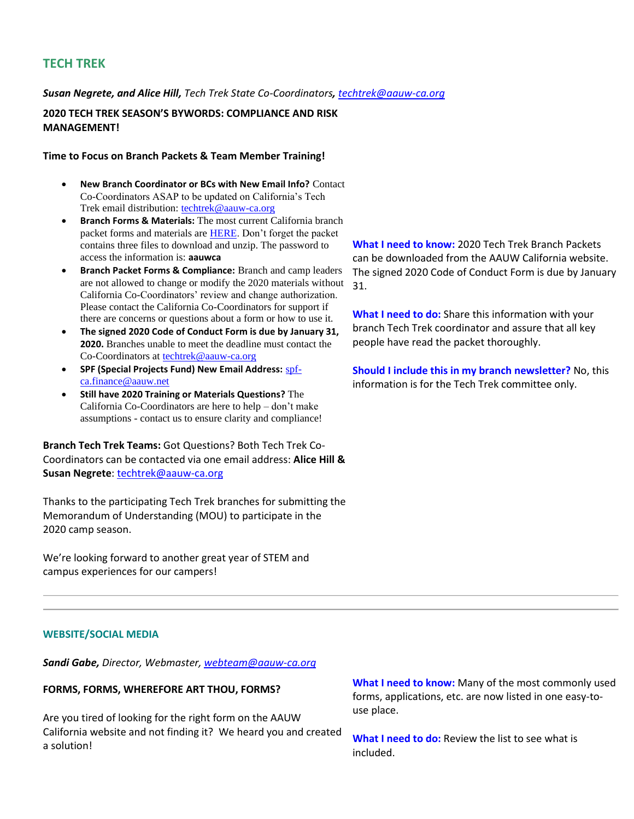## **TECH TREK**

*Susan Negrete, and Alice Hill, Tech Trek State Co-Coordinators, [techtrek@aauw-ca.org](mailto:techtrek@aauw-ca.org)*

**2020 TECH TREK SEASON'S BYWORDS: COMPLIANCE AND RISK MANAGEMENT!**

#### **Time to Focus on Branch Packets & Team Member Training!**

- **New Branch Coordinator or BCs with New Email Info?** Contact Co-Coordinators ASAP to be updated on California's Tech Trek email distribution: [techtrek@aauw-ca.org](mailto:techtrek@aauw-ca.org)
- **Branch Forms & Materials:** The most current California branch packet forms and materials ar[e HERE.](https://bor.aauw-ca.org/sendy/l/892WZcugyyn7Dp4I7u2fztNQ/Eg6yfCDyq37AqB7W1pUDdQ/ecCXcdD7630rC892LGxdD763L2Nw) Don't forget the packet contains three files to download and unzip. The password to access the information is: **aauwca**
- **Branch Packet Forms & Compliance:** Branch and camp leaders are not allowed to change or modify the 2020 materials without California Co-Coordinators' review and change authorization. Please contact the California Co-Coordinators for support if there are concerns or questions about a form or how to use it.
- **The signed 2020 Code of Conduct Form is due by January 31, 2020.** Branches unable to meet the deadline must contact the Co-Coordinators at [techtrek@aauw-ca.org](mailto:techtrek@aauw-ca.org)
- **SPF (Special Projects Fund) New Email Address:** [spf](mailto:spf-ca.finance@aauw.net)[ca.finance@aauw.net](mailto:spf-ca.finance@aauw.net)
- **Still have 2020 Training or Materials Questions?** The California Co-Coordinators are here to help – don't make assumptions - contact us to ensure clarity and compliance!

**Branch Tech Trek Teams:** Got Questions? Both Tech Trek Co-Coordinators can be contacted via one email address: **Alice Hill & Susan Negrete**: [techtrek@aauw-ca.org](mailto:techtrek@aauw-ca.org)

Thanks to the participating Tech Trek branches for submitting the Memorandum of Understanding (MOU) to participate in the 2020 camp season.

We're looking forward to another great year of STEM and campus experiences for our campers!

**What I need to know:** 2020 Tech Trek Branch Packets can be downloaded from the AAUW California website. The signed 2020 Code of Conduct Form is due by January 31.

**What I need to do:** Share this information with your branch Tech Trek coordinator and assure that all key people have read the packet thoroughly.

**Should I include this in my branch newsletter?** No, this information is for the Tech Trek committee only.

### **WEBSITE/SOCIAL MEDIA**

*Sandi Gabe, Director, Webmaster, [webteam@aauw-ca.org](mailto:webteam@aauw-ca.org)*

#### **FORMS, FORMS, WHEREFORE ART THOU, FORMS?**

Are you tired of looking for the right form on the AAUW California website and not finding it? We heard you and created a solution!

**What I need to know:** Many of the most commonly used forms, applications, etc. are now listed in one easy-touse place.

**What I need to do:** Review the list to see what is included.